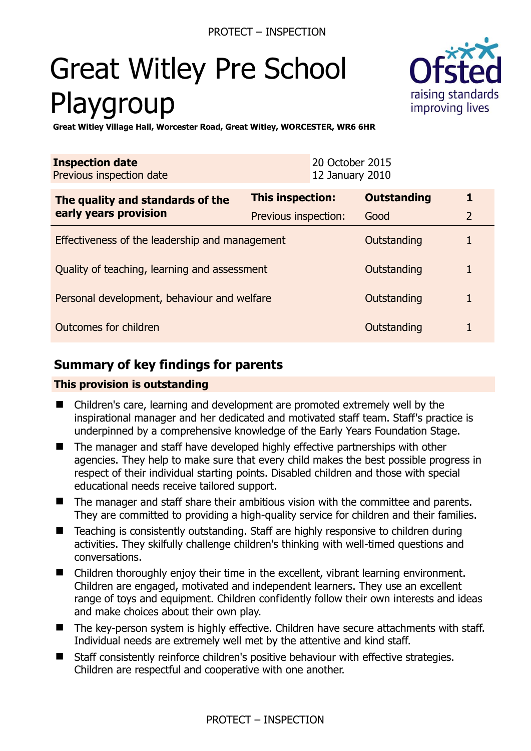# Great Witley Pre School Playgroup



**Great Witley Village Hall, Worcester Road, Great Witley, WORCESTER, WR6 6HR** 

| <b>Inspection date</b><br>Previous inspection date        |                         | 20 October 2015<br>12 January 2010 |                    |                |
|-----------------------------------------------------------|-------------------------|------------------------------------|--------------------|----------------|
| The quality and standards of the<br>early years provision | <b>This inspection:</b> |                                    | <b>Outstanding</b> | 1              |
|                                                           | Previous inspection:    |                                    | Good               | $\overline{2}$ |
| Effectiveness of the leadership and management            |                         |                                    | Outstanding        |                |
| Quality of teaching, learning and assessment              |                         |                                    | Outstanding        | 1              |
| Personal development, behaviour and welfare               |                         |                                    | Outstanding        |                |
| Outcomes for children                                     |                         |                                    | Outstanding        |                |

# **Summary of key findings for parents**

## **This provision is outstanding**

- Children's care, learning and development are promoted extremely well by the inspirational manager and her dedicated and motivated staff team. Staff's practice is underpinned by a comprehensive knowledge of the Early Years Foundation Stage.
- The manager and staff have developed highly effective partnerships with other agencies. They help to make sure that every child makes the best possible progress in respect of their individual starting points. Disabled children and those with special educational needs receive tailored support.
- The manager and staff share their ambitious vision with the committee and parents. They are committed to providing a high-quality service for children and their families.
- Teaching is consistently outstanding. Staff are highly responsive to children during activities. They skilfully challenge children's thinking with well-timed questions and conversations.
- Children thoroughly enjoy their time in the excellent, vibrant learning environment. Children are engaged, motivated and independent learners. They use an excellent range of toys and equipment. Children confidently follow their own interests and ideas and make choices about their own play.
- The key-person system is highly effective. Children have secure attachments with staff. Individual needs are extremely well met by the attentive and kind staff.
- Staff consistently reinforce children's positive behaviour with effective strategies. Children are respectful and cooperative with one another.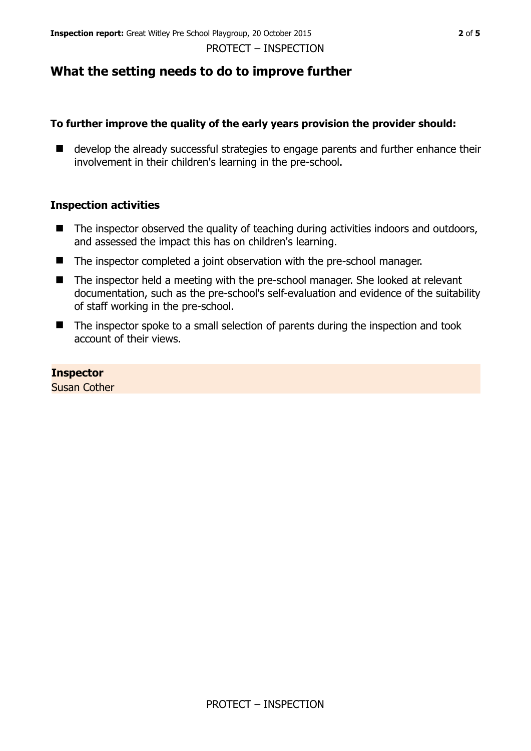PROTECT – INSPECTION

## **What the setting needs to do to improve further**

## **To further improve the quality of the early years provision the provider should:**

■ develop the already successful strategies to engage parents and further enhance their involvement in their children's learning in the pre-school.

## **Inspection activities**

- $\blacksquare$  The inspector observed the quality of teaching during activities indoors and outdoors, and assessed the impact this has on children's learning.
- The inspector completed a joint observation with the pre-school manager.
- The inspector held a meeting with the pre-school manager. She looked at relevant documentation, such as the pre-school's self-evaluation and evidence of the suitability of staff working in the pre-school.
- The inspector spoke to a small selection of parents during the inspection and took account of their views.

#### **Inspector**

Susan Cother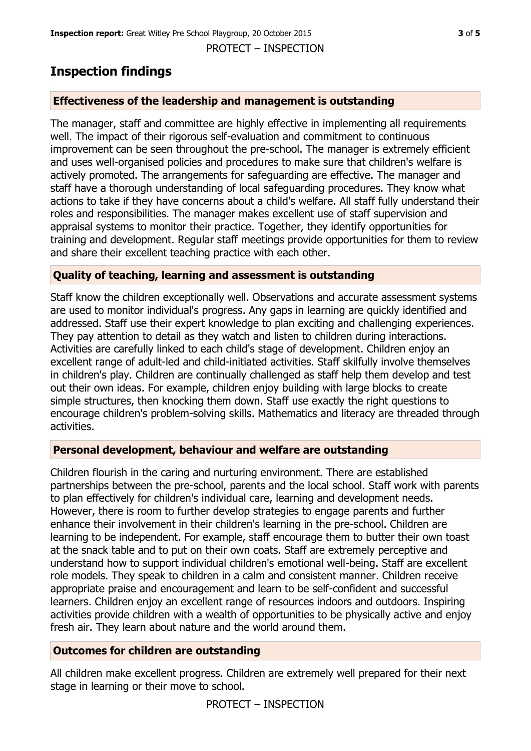PROTECT – INSPECTION

## **Inspection findings**

## **Effectiveness of the leadership and management is outstanding**

The manager, staff and committee are highly effective in implementing all requirements well. The impact of their rigorous self-evaluation and commitment to continuous improvement can be seen throughout the pre-school. The manager is extremely efficient and uses well-organised policies and procedures to make sure that children's welfare is actively promoted. The arrangements for safeguarding are effective. The manager and staff have a thorough understanding of local safeguarding procedures. They know what actions to take if they have concerns about a child's welfare. All staff fully understand their roles and responsibilities. The manager makes excellent use of staff supervision and appraisal systems to monitor their practice. Together, they identify opportunities for training and development. Regular staff meetings provide opportunities for them to review and share their excellent teaching practice with each other.

## **Quality of teaching, learning and assessment is outstanding**

Staff know the children exceptionally well. Observations and accurate assessment systems are used to monitor individual's progress. Any gaps in learning are quickly identified and addressed. Staff use their expert knowledge to plan exciting and challenging experiences. They pay attention to detail as they watch and listen to children during interactions. Activities are carefully linked to each child's stage of development. Children enjoy an excellent range of adult-led and child-initiated activities. Staff skilfully involve themselves in children's play. Children are continually challenged as staff help them develop and test out their own ideas. For example, children enjoy building with large blocks to create simple structures, then knocking them down. Staff use exactly the right questions to encourage children's problem-solving skills. Mathematics and literacy are threaded through activities.

## **Personal development, behaviour and welfare are outstanding**

Children flourish in the caring and nurturing environment. There are established partnerships between the pre-school, parents and the local school. Staff work with parents to plan effectively for children's individual care, learning and development needs. However, there is room to further develop strategies to engage parents and further enhance their involvement in their children's learning in the pre-school. Children are learning to be independent. For example, staff encourage them to butter their own toast at the snack table and to put on their own coats. Staff are extremely perceptive and understand how to support individual children's emotional well-being. Staff are excellent role models. They speak to children in a calm and consistent manner. Children receive appropriate praise and encouragement and learn to be self-confident and successful learners. Children enjoy an excellent range of resources indoors and outdoors. Inspiring activities provide children with a wealth of opportunities to be physically active and enjoy fresh air. They learn about nature and the world around them.

## **Outcomes for children are outstanding**

All children make excellent progress. Children are extremely well prepared for their next stage in learning or their move to school.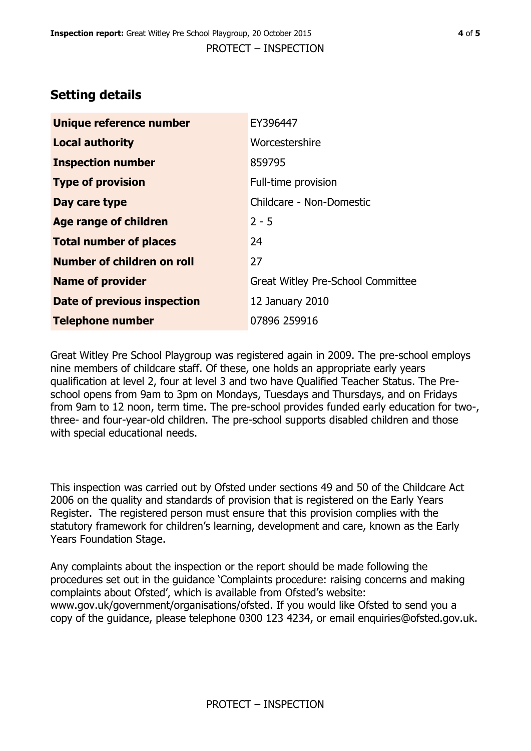## **Setting details**

| Unique reference number       | EY396447                          |
|-------------------------------|-----------------------------------|
| <b>Local authority</b>        | Worcestershire                    |
| <b>Inspection number</b>      | 859795                            |
| <b>Type of provision</b>      | Full-time provision               |
| Day care type                 | Childcare - Non-Domestic          |
| Age range of children         | $2 - 5$                           |
| <b>Total number of places</b> | 24                                |
| Number of children on roll    | 27                                |
| <b>Name of provider</b>       | Great Witley Pre-School Committee |
| Date of previous inspection   | 12 January 2010                   |
| <b>Telephone number</b>       | 07896 259916                      |

Great Witley Pre School Playgroup was registered again in 2009. The pre-school employs nine members of childcare staff. Of these, one holds an appropriate early years qualification at level 2, four at level 3 and two have Qualified Teacher Status. The Preschool opens from 9am to 3pm on Mondays, Tuesdays and Thursdays, and on Fridays from 9am to 12 noon, term time. The pre-school provides funded early education for two-, three- and four-year-old children. The pre-school supports disabled children and those with special educational needs.

This inspection was carried out by Ofsted under sections 49 and 50 of the Childcare Act 2006 on the quality and standards of provision that is registered on the Early Years Register. The registered person must ensure that this provision complies with the statutory framework for children's learning, development and care, known as the Early Years Foundation Stage.

Any complaints about the inspection or the report should be made following the procedures set out in the guidance 'Complaints procedure: raising concerns and making complaints about Ofsted', which is available from Ofsted's website: www.gov.uk/government/organisations/ofsted. If you would like Ofsted to send you a copy of the guidance, please telephone 0300 123 4234, or email enquiries@ofsted.gov.uk.